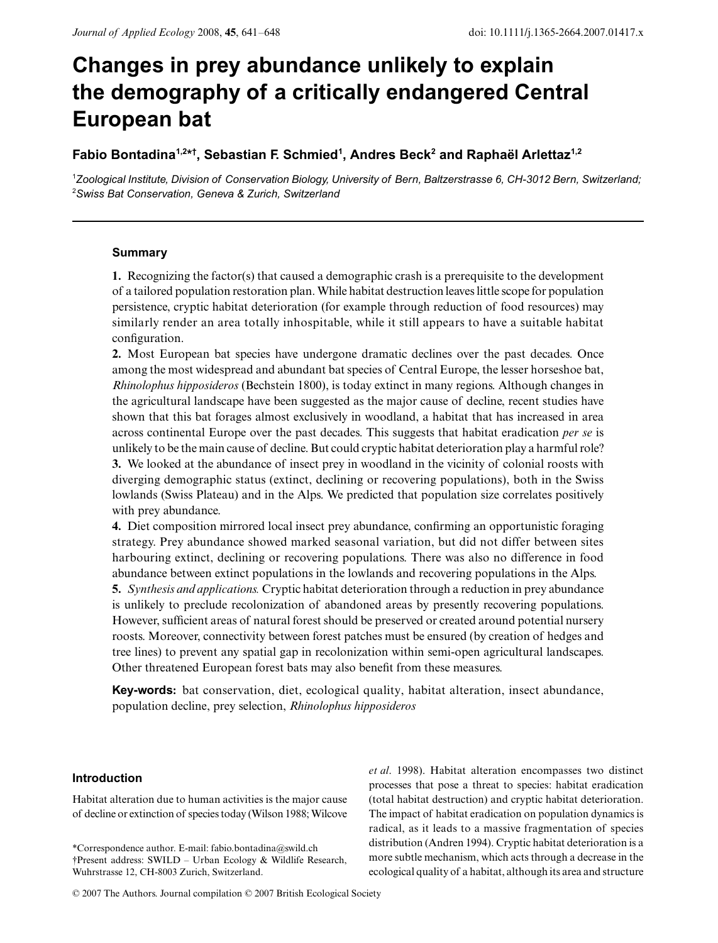# **Changes in prey abundance unlikely to explain the demography of a critically endangered Central European bat**

## **Fabio Bontadina1,2\* † , Sebastian F. Schmied1 , Andres Beck2 and Raphaël Arlettaz1,2**

1 *Zoological Institute, Division of Conservation Biology, University of Bern, Baltzerstrasse 6, CH-3012 Bern, Switzerland;*  2 *Swiss Bat Conservation, Geneva & Zurich, Switzerland*

## **Summary**

**1.** Recognizing the factor(s) that caused a demographic crash is a prerequisite to the development of a tailored population restoration plan. While habitat destruction leaves little scope for population persistence, cryptic habitat deterioration (for example through reduction of food resources) may similarly render an area totally inhospitable, while it still appears to have a suitable habitat configuration.

**2.** Most European bat species have undergone dramatic declines over the past decades. Once among the most widespread and abundant bat species of Central Europe, the lesser horseshoe bat, *Rhinolophus hipposideros* (Bechstein 1800), is today extinct in many regions. Although changes in the agricultural landscape have been suggested as the major cause of decline, recent studies have shown that this bat forages almost exclusively in woodland, a habitat that has increased in area across continental Europe over the past decades. This suggests that habitat eradication *per se* is unlikely to be the main cause of decline. But could cryptic habitat deterioration play a harmful role? **3.** We looked at the abundance of insect prey in woodland in the vicinity of colonial roosts with diverging demographic status (extinct, declining or recovering populations), both in the Swiss lowlands (Swiss Plateau) and in the Alps. We predicted that population size correlates positively with prey abundance.

**4.** Diet composition mirrored local insect prey abundance, confirming an opportunistic foraging strategy. Prey abundance showed marked seasonal variation, but did not differ between sites harbouring extinct, declining or recovering populations. There was also no difference in food abundance between extinct populations in the lowlands and recovering populations in the Alps.

**5.** *Synthesis and applications.* Cryptic habitat deterioration through a reduction in prey abundance is unlikely to preclude recolonization of abandoned areas by presently recovering populations. However, sufficient areas of natural forest should be preserved or created around potential nursery roosts. Moreover, connectivity between forest patches must be ensured (by creation of hedges and tree lines) to prevent any spatial gap in recolonization within semi-open agricultural landscapes. Other threatened European forest bats may also benefit from these measures.

**Key-words:** bat conservation, diet, ecological quality, habitat alteration, insect abundance, population decline, prey selection, *Rhinolophus hipposideros*

## **Introduction**

Habitat alteration due to human activities is the major cause of decline or extinction of species today (Wilson 1988; Wilcove

\*Correspondence author. E-mail: fabio.bontadina@swild.ch †Present address: SWILD – Urban Ecology & Wildlife Research, Wuhrstrasse 12, CH-8003 Zurich, Switzerland.

*et al*. 1998). Habitat alteration encompasses two distinct processes that pose a threat to species: habitat eradication (total habitat destruction) and cryptic habitat deterioration. The impact of habitat eradication on population dynamics is radical, as it leads to a massive fragmentation of species distribution (Andren 1994). Cryptic habitat deterioration is a more subtle mechanism, which acts through a decrease in the ecological quality of a habitat, although its area and structure

<sup>© 2007</sup> The Authors. Journal compilation © 2007 British Ecological Society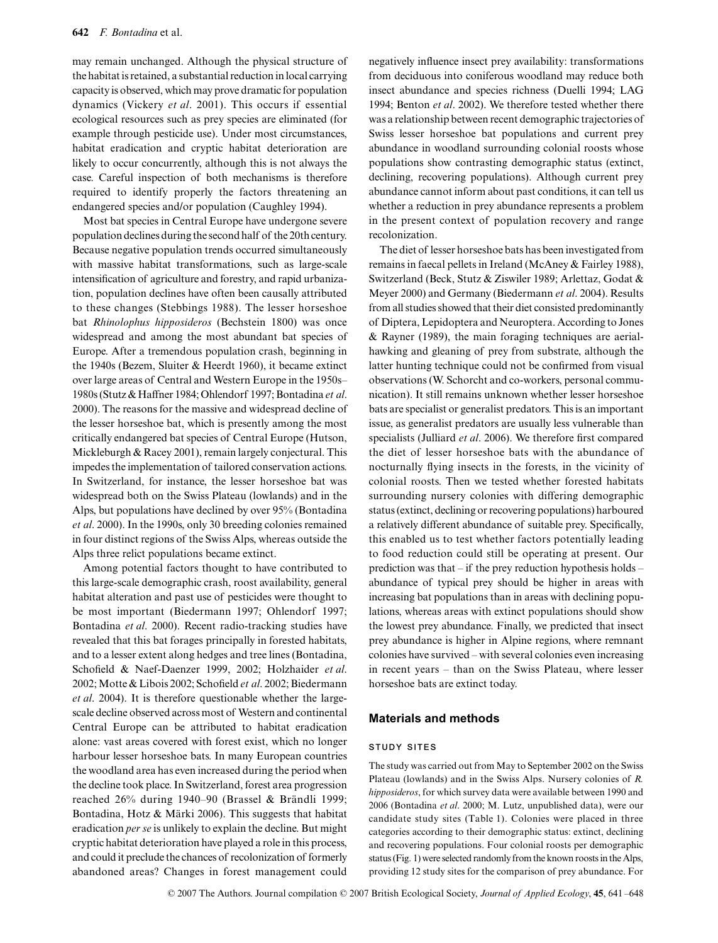may remain unchanged. Although the physical structure of the habitat is retained, a substantial reduction in local carrying capacity is observed, which may prove dramatic for population dynamics (Vickery *et al*. 2001). This occurs if essential ecological resources such as prey species are eliminated (for example through pesticide use). Under most circumstances, habitat eradication and cryptic habitat deterioration are likely to occur concurrently, although this is not always the case. Careful inspection of both mechanisms is therefore required to identify properly the factors threatening an endangered species and/or population (Caughley 1994).

Most bat species in Central Europe have undergone severe population declines during the second half of the 20th century. Because negative population trends occurred simultaneously with massive habitat transformations, such as large-scale intensification of agriculture and forestry, and rapid urbanization, population declines have often been causally attributed to these changes (Stebbings 1988). The lesser horseshoe bat *Rhinolophus hipposideros* (Bechstein 1800) was once widespread and among the most abundant bat species of Europe. After a tremendous population crash, beginning in the 1940s (Bezem, Sluiter & Heerdt 1960), it became extinct over large areas of Central and Western Europe in the 1950s– 1980s (Stutz & Haffner 1984; Ohlendorf 1997; Bontadina *et al*. 2000). The reasons for the massive and widespread decline of the lesser horseshoe bat, which is presently among the most critically endangered bat species of Central Europe (Hutson, Mickleburgh & Racey 2001), remain largely conjectural. This impedes the implementation of tailored conservation actions. In Switzerland, for instance, the lesser horseshoe bat was widespread both on the Swiss Plateau (lowlands) and in the Alps, but populations have declined by over 95% (Bontadina *et al*. 2000). In the 1990s, only 30 breeding colonies remained in four distinct regions of the Swiss Alps, whereas outside the Alps three relict populations became extinct.

Among potential factors thought to have contributed to this large-scale demographic crash, roost availability, general habitat alteration and past use of pesticides were thought to be most important (Biedermann 1997; Ohlendorf 1997; Bontadina *et al*. 2000). Recent radio-tracking studies have revealed that this bat forages principally in forested habitats, and to a lesser extent along hedges and tree lines (Bontadina, Schofield & Naef-Daenzer 1999, 2002; Holzhaider *et al*. 2002; Motte & Libois 2002; Schofield *et al*. 2002; Biedermann *et al*. 2004). It is therefore questionable whether the largescale decline observed across most of Western and continental Central Europe can be attributed to habitat eradication alone: vast areas covered with forest exist, which no longer harbour lesser horseshoe bats. In many European countries the woodland area has even increased during the period when the decline took place. In Switzerland, forest area progression reached 26% during 1940–90 (Brassel & Brändli 1999; Bontadina, Hotz & Märki 2006). This suggests that habitat eradication *per se* is unlikely to explain the decline. But might cryptic habitat deterioration have played a role in this process, and could it preclude the chances of recolonization of formerly abandoned areas? Changes in forest management could

negatively influence insect prey availability: transformations from deciduous into coniferous woodland may reduce both insect abundance and species richness (Duelli 1994; LAG 1994; Benton *et al*. 2002). We therefore tested whether there was a relationship between recent demographic trajectories of Swiss lesser horseshoe bat populations and current prey abundance in woodland surrounding colonial roosts whose populations show contrasting demographic status (extinct, declining, recovering populations). Although current prey abundance cannot inform about past conditions, it can tell us whether a reduction in prey abundance represents a problem in the present context of population recovery and range recolonization.

The diet of lesser horseshoe bats has been investigated from remains in faecal pellets in Ireland (McAney & Fairley 1988), Switzerland (Beck, Stutz & Ziswiler 1989; Arlettaz, Godat & Meyer 2000) and Germany (Biedermann *et al*. 2004). Results from all studies showed that their diet consisted predominantly of Diptera, Lepidoptera and Neuroptera. According to Jones & Rayner (1989), the main foraging techniques are aerialhawking and gleaning of prey from substrate, although the latter hunting technique could not be confirmed from visual observations (W. Schorcht and co-workers, personal communication). It still remains unknown whether lesser horseshoe bats are specialist or generalist predators. This is an important issue, as generalist predators are usually less vulnerable than specialists (Julliard *et al*. 2006). We therefore first compared the diet of lesser horseshoe bats with the abundance of nocturnally flying insects in the forests, in the vicinity of colonial roosts. Then we tested whether forested habitats surrounding nursery colonies with differing demographic status (extinct, declining or recovering populations) harboured a relatively different abundance of suitable prey. Specifically, this enabled us to test whether factors potentially leading to food reduction could still be operating at present. Our prediction was that – if the prey reduction hypothesis holds – abundance of typical prey should be higher in areas with increasing bat populations than in areas with declining populations, whereas areas with extinct populations should show the lowest prey abundance. Finally, we predicted that insect prey abundance is higher in Alpine regions, where remnant colonies have survived – with several colonies even increasing in recent years – than on the Swiss Plateau, where lesser horseshoe bats are extinct today.

## **Materials and methods**

#### **STUDY SITES**

The study was carried out from May to September 2002 on the Swiss Plateau (lowlands) and in the Swiss Alps. Nursery colonies of *R. hipposideros*, for which survey data were available between 1990 and 2006 (Bontadina *et al*. 2000; M. Lutz, unpublished data), were our candidate study sites (Table 1). Colonies were placed in three categories according to their demographic status: extinct, declining and recovering populations. Four colonial roosts per demographic status (Fig. 1) were selected randomly from the known roosts in the Alps, providing 12 study sites for the comparison of prey abundance. For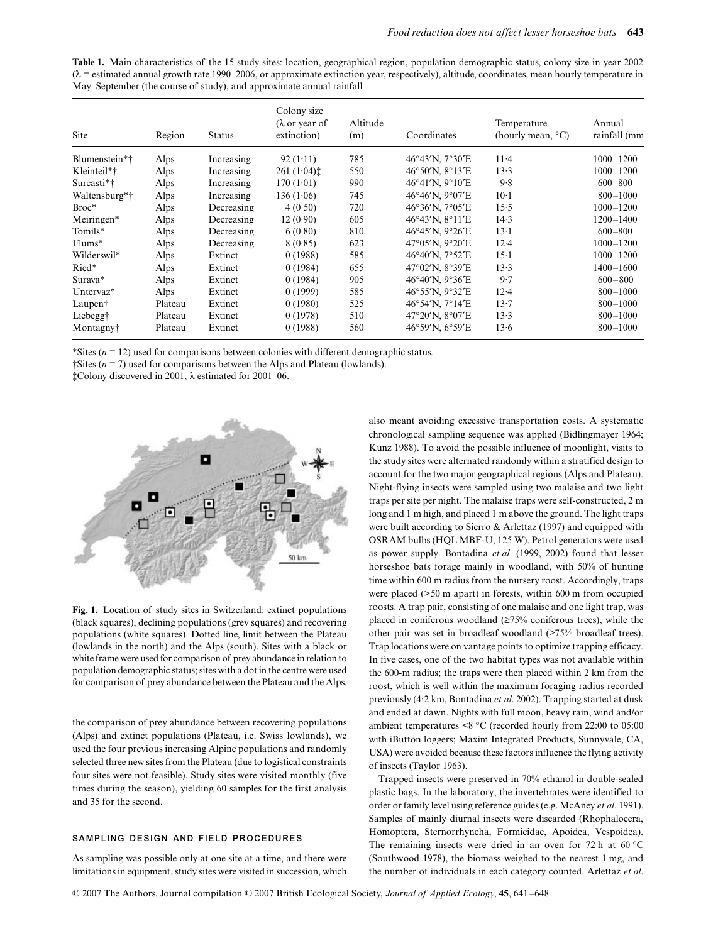**Table 1.** Main characteristics of the 15 study sites: location, geographical region, population demographic status, colony size in year 2002  $(\lambda =$  estimated annual growth rate 1990–2006, or approximate extinction year, respectively), altitude, coordinates, mean hourly temperature in May–September (the course of study), and approximate annual rainfall

| Site                  | Region  | <b>Status</b> | Colony size<br>$(\lambda$ or year of<br>extinction) | Altitude<br>(m) | Coordinates     | Temperature<br>(hourly mean, $^{\circ}$ C) | Annual<br>rainfall (mm |
|-----------------------|---------|---------------|-----------------------------------------------------|-----------------|-----------------|--------------------------------------------|------------------------|
| Blumenstein*†         | Alps    | Increasing    | 92(1.11)                                            | 785             | 46°43'N, 7°30'E | $11-4$                                     | $1000 - 1200$          |
| Kleinteil*†           | Alps    | Increasing    | 261 (1.04)                                          | 550             | 46°50'N, 8°13'E | 13.3                                       | $1000 - 1200$          |
| Surcasti*†            | Alps    | Increasing    | 170(1.01)                                           | 990             | 46°41'N, 9°10'E | 9.8                                        | $600 - 800$            |
| Waltensburg*†         | Alps    | Increasing    | 136(1.06)                                           | 745             | 46°46'N, 9°07'E | $10-1$                                     | $800 - 1000$           |
| $Broc*$               | Alps    | Decreasing    | 4(0.50)                                             | 720             | 46°36'N, 7°05'E | 15.5                                       | $1000 - 1200$          |
| Meiringen*            | Alps    | Decreasing    | 12(0.90)                                            | 605             | 46°43'N, 8°11'E | 14.3                                       | 1200-1400              |
| Tomils*               | Alps    | Decreasing    | 6(0.80)                                             | 810             | 46°45'N, 9°26'E | $13-1$                                     | $600 - 800$            |
| $Flums*$              | Alps    | Decreasing    | 8(0.85)                                             | 623             | 47°05'N, 9°20'E | $12 - 4$                                   | $1000 - 1200$          |
| Wilderswil*           | Alps    | Extinct       | 0(1988)                                             | 585             | 46°40'N, 7°52'E | $15-1$                                     | $1000 - 1200$          |
| Ried*                 | Alps    | Extinct       | 0(1984)                                             | 655             | 47°02'N, 8°39'E | 13.3                                       | $1400 - 1600$          |
| Surava*               | Alps    | Extinct       | 0(1984)                                             | 905             | 46°40'N, 9°36'E | 9.7                                        | $600 - 800$            |
| Untervaz <sup>*</sup> | Alps    | Extinct       | 0(1999)                                             | 585             | 46°55'N, 9°32'E | $12 - 4$                                   | $800 - 1000$           |
| Laupen <sup>†</sup>   | Plateau | Extinct       | 0(1980)                                             | 525             | 46°54'N, 7°14'E | 13.7                                       | $800 - 1000$           |
| Liebegg†              | Plateau | Extinct       | 0(1978)                                             | 510             | 47°20'N, 8°07'E | 13.3                                       | $800 - 1000$           |
| Montagny†             | Plateau | Extinct       | 0(1988)                                             | 560             | 46°59'N, 6°59'E | 13.6                                       | $800 - 1000$           |

\*Sites (*n* = 12) used for comparisons between colonies with different demographic status.

†Sites (*n* = 7) used for comparisons between the Alps and Plateau (lowlands).

‡Colony discovered in 2001, λ estimated for 2001–06.



**Fig. 1.** Location of study sites in Switzerland: extinct populations (black squares), declining populations (grey squares) and recovering populations (white squares). Dotted line, limit between the Plateau (lowlands in the north) and the Alps (south). Sites with a black or white frame were used for comparison of prey abundance in relation to population demographic status; sites with a dot in the centre were used for comparison of prey abundance between the Plateau and the Alps.

the comparison of prey abundance between recovering populations (Alps) and extinct populations (Plateau, i.e. Swiss lowlands), we used the four previous increasing Alpine populations and randomly selected three new sites from the Plateau (due to logistical constraints four sites were not feasible). Study sites were visited monthly (five times during the season), yielding 60 samples for the first analysis and 35 for the second.

#### **SAMPLING DESIGN AND FIELD PROCEDURES**

As sampling was possible only at one site at a time, and there were limitations in equipment, study sites were visited in succession, which also meant avoiding excessive transportation costs. A systematic chronological sampling sequence was applied (Bidlingmayer 1964; Kunz 1988). To avoid the possible influence of moonlight, visits to the study sites were alternated randomly within a stratified design to account for the two major geographical regions (Alps and Plateau). Night-flying insects were sampled using two malaise and two light traps per site per night. The malaise traps were self-constructed, 2 m long and 1 m high, and placed 1 m above the ground. The light traps were built according to Sierro & Arlettaz (1997) and equipped with OSRAM bulbs (HQL MBF-U, 125 W). Petrol generators were used as power supply. Bontadina *et al*. (1999, 2002) found that lesser horseshoe bats forage mainly in woodland, with 50% of hunting time within 600 m radius from the nursery roost. Accordingly, traps were placed (>50 m apart) in forests, within 600 m from occupied roosts. A trap pair, consisting of one malaise and one light trap, was placed in coniferous woodland (≥75% coniferous trees), while the other pair was set in broadleaf woodland (≥75% broadleaf trees). Trap locations were on vantage points to optimize trapping efficacy. In five cases, one of the two habitat types was not available within the 600-m radius; the traps were then placed within 2 km from the roost, which is well within the maximum foraging radius recorded previously (4·2 km, Bontadina *et al*. 2002). Trapping started at dusk and ended at dawn. Nights with full moon, heavy rain, wind and/or ambient temperatures <8 °C (recorded hourly from 22:00 to 05:00 with iButton loggers; Maxim Integrated Products, Sunnyvale, CA, USA) were avoided because these factors influence the flying activity of insects (Taylor 1963).

Trapped insects were preserved in 70% ethanol in double-sealed plastic bags. In the laboratory, the invertebrates were identified to order or family level using reference guides (e.g. McAney *et al*. 1991). Samples of mainly diurnal insects were discarded (Rhophalocera, Homoptera, Sternorrhyncha, Formicidae, Apoidea, Vespoidea). The remaining insects were dried in an oven for 72 h at 60 °C (Southwood 1978), the biomass weighed to the nearest 1 mg, and the number of individuals in each category counted. Arlettaz *et al*.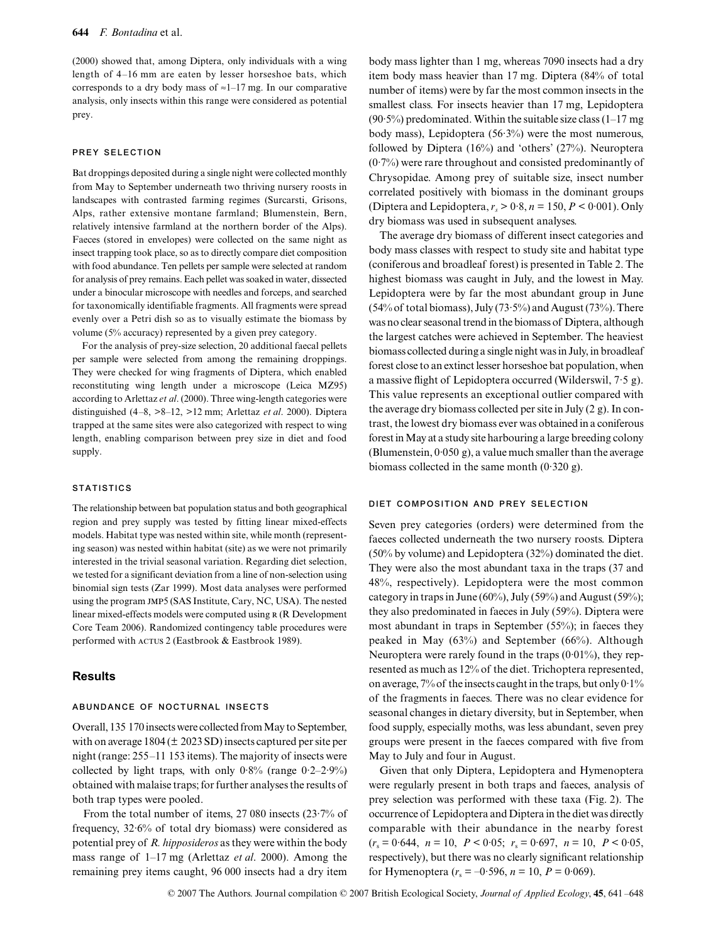(2000) showed that, among Diptera, only individuals with a wing length of 4–16 mm are eaten by lesser horseshoe bats, which corresponds to a dry body mass of  $\approx 1$ –17 mg. In our comparative analysis, only insects within this range were considered as potential prey.

#### **PREY SELECTION**

Bat droppings deposited during a single night were collected monthly from May to September underneath two thriving nursery roosts in landscapes with contrasted farming regimes (Surcarsti, Grisons, Alps, rather extensive montane farmland; Blumenstein, Bern, relatively intensive farmland at the northern border of the Alps). Faeces (stored in envelopes) were collected on the same night as insect trapping took place, so as to directly compare diet composition with food abundance. Ten pellets per sample were selected at random for analysis of prey remains. Each pellet was soaked in water, dissected under a binocular microscope with needles and forceps, and searched for taxonomically identifiable fragments. All fragments were spread evenly over a Petri dish so as to visually estimate the biomass by volume (5% accuracy) represented by a given prey category.

For the analysis of prey-size selection, 20 additional faecal pellets per sample were selected from among the remaining droppings. They were checked for wing fragments of Diptera, which enabled reconstituting wing length under a microscope (Leica MZ95) according to Arlettaz *et al*. (2000). Three wing-length categories were distinguished (4–8, >8–12, >12 mm; Arlettaz *et al*. 2000). Diptera trapped at the same sites were also categorized with respect to wing length, enabling comparison between prey size in diet and food supply.

#### **STATISTICS**

The relationship between bat population status and both geographical region and prey supply was tested by fitting linear mixed-effects models. Habitat type was nested within site, while month (representing season) was nested within habitat (site) as we were not primarily interested in the trivial seasonal variation. Regarding diet selection, we tested for a significant deviation from a line of non-selection using binomial sign tests (Zar 1999). Most data analyses were performed using the program jmp5 (SAS Institute, Cary, NC, USA). The nested linear mixed-effects models were computed using R (R Development Core Team 2006). Randomized contingency table procedures were performed with acrus 2 (Eastbrook & Eastbrook 1989).

## **Results**

#### **ABUNDANCE OF NOCTURNAL INSECTS**

Overall, 135 170 insects were collected from May to September, with on average 1804 (± 2023 SD) insects captured per site per night (range: 255–11 153 items). The majority of insects were collected by light traps, with only  $0.8\%$  (range  $0.2-2.9\%$ ) obtained with malaise traps; for further analyses the results of both trap types were pooled.

From the total number of items, 27 080 insects (23·7% of frequency, 32·6% of total dry biomass) were considered as potential prey of *R. hipposideros* as they were within the body mass range of 1–17 mg (Arlettaz *et al*. 2000). Among the remaining prey items caught, 96 000 insects had a dry item

body mass lighter than 1 mg, whereas 7090 insects had a dry item body mass heavier than 17 mg. Diptera (84% of total number of items) were by far the most common insects in the smallest class. For insects heavier than 17 mg, Lepidoptera  $(90.5\%)$  predominated. Within the suitable size class  $(1-17 \text{ mg})$ body mass), Lepidoptera (56·3%) were the most numerous, followed by Diptera (16%) and 'others' (27%). Neuroptera (0·7%) were rare throughout and consisted predominantly of Chrysopidae. Among prey of suitable size, insect number correlated positively with biomass in the dominant groups (Diptera and Lepidoptera,  $r_s > 0.8$ ,  $n = 150$ ,  $P < 0.001$ ). Only dry biomass was used in subsequent analyses.

The average dry biomass of different insect categories and body mass classes with respect to study site and habitat type (coniferous and broadleaf forest) is presented in Table 2. The highest biomass was caught in July, and the lowest in May. Lepidoptera were by far the most abundant group in June (54% of total biomass), July (73·5%) and August (73%). There was no clear seasonal trend in the biomass of Diptera, although the largest catches were achieved in September. The heaviest biomass collected during a single night was in July, in broadleaf forest close to an extinct lesser horseshoe bat population, when a massive flight of Lepidoptera occurred (Wilderswil, 7·5 g). This value represents an exceptional outlier compared with the average dry biomass collected per site in July (2 g). In contrast, the lowest dry biomass ever was obtained in a coniferous forest in May at a study site harbouring a large breeding colony (Blumenstein, 0·050 g), a value much smaller than the average biomass collected in the same month (0·320 g).

#### **DIET COMPOSITION AND PREY SELECTION**

Seven prey categories (orders) were determined from the faeces collected underneath the two nursery roosts. Diptera (50% by volume) and Lepidoptera (32%) dominated the diet. They were also the most abundant taxa in the traps (37 and 48%, respectively). Lepidoptera were the most common category in traps in June (60%), July (59%) and August (59%); they also predominated in faeces in July (59%). Diptera were most abundant in traps in September (55%); in faeces they peaked in May (63%) and September (66%). Although Neuroptera were rarely found in the traps  $(0.01\%)$ , they represented as much as 12% of the diet. Trichoptera represented, on average,  $7\%$  of the insects caught in the traps, but only  $0.1\%$ of the fragments in faeces. There was no clear evidence for seasonal changes in dietary diversity, but in September, when food supply, especially moths, was less abundant, seven prey groups were present in the faeces compared with five from May to July and four in August.

Given that only Diptera, Lepidoptera and Hymenoptera were regularly present in both traps and faeces, analysis of prey selection was performed with these taxa (Fig. 2). The occurrence of Lepidoptera and Diptera in the diet was directly comparable with their abundance in the nearby forest  $(r_s = 0.644, n = 10, P < 0.05; r_s = 0.697, n = 10, P < 0.05,$ respectively), but there was no clearly significant relationship for Hymenoptera  $(r_s = -0.596, n = 10, P = 0.069)$ .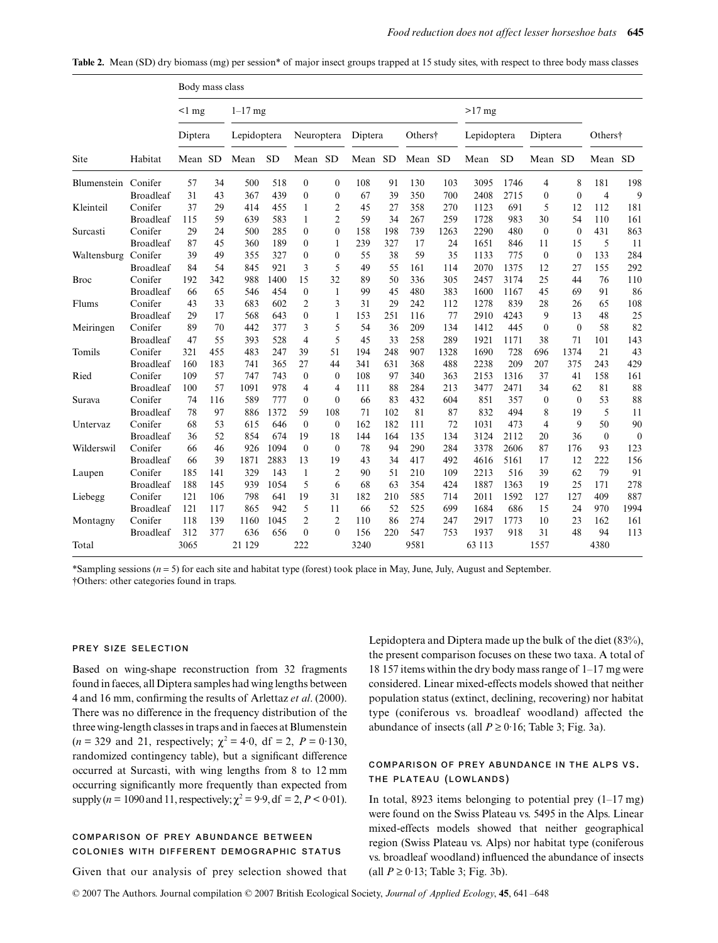|  |  |  |  | <b>Table 2.</b> Mean (SD) dry biomass (mg) per session* of major insect groups trapped at 15 study sites, with respect to three body mass classes |  |  |  |  |  |  |  |  |  |  |  |  |  |
|--|--|--|--|---------------------------------------------------------------------------------------------------------------------------------------------------|--|--|--|--|--|--|--|--|--|--|--|--|--|
|--|--|--|--|---------------------------------------------------------------------------------------------------------------------------------------------------|--|--|--|--|--|--|--|--|--|--|--|--|--|

|                     |                  | Body mass class |     |             |           |                  |                  |         |     |         |          |             |           |              |              |                |                |
|---------------------|------------------|-----------------|-----|-------------|-----------|------------------|------------------|---------|-----|---------|----------|-------------|-----------|--------------|--------------|----------------|----------------|
|                     |                  | $<$ 1 mg        |     | $1-17$ mg   |           |                  |                  |         |     |         | $>17$ mg |             |           |              |              |                |                |
|                     |                  | Diptera         |     | Lepidoptera |           | Neuroptera       |                  | Diptera |     | Others† |          | Lepidoptera |           | Diptera      |              | Others†        |                |
| Site                | Habitat          | Mean SD         |     | Mean        | <b>SD</b> | Mean SD          |                  | Mean SD |     | Mean SD |          | Mean        | <b>SD</b> | Mean SD      |              | Mean SD        |                |
| Blumenstein Conifer |                  | 57              | 34  | 500         | 518       | $\boldsymbol{0}$ | $\boldsymbol{0}$ | 108     | 91  | 130     | 103      | 3095        | 1746      | 4            | 8            | 181            | 198            |
|                     | <b>Broadleaf</b> | 31              | 43  | 367         | 439       | $\mathbf{0}$     | $\mathbf{0}$     | 67      | 39  | 350     | 700      | 2408        | 2715      | $\mathbf{0}$ | $\mathbf{0}$ | $\overline{4}$ | 9              |
| Kleinteil           | Conifer          | 37              | 29  | 414         | 455       | $\mathbf{1}$     | $\overline{2}$   | 45      | 27  | 358     | 270      | 1123        | 691       | 5            | 12           | 112            | 181            |
|                     | <b>Broadleaf</b> | 115             | 59  | 639         | 583       | $\mathbf{1}$     | $\overline{2}$   | 59      | 34  | 267     | 259      | 1728        | 983       | 30           | 54           | 110            | 161            |
| Surcasti            | Conifer          | 29              | 24  | 500         | 285       | $\mathbf{0}$     | $\mathbf{0}$     | 158     | 198 | 739     | 1263     | 2290        | 480       | $\theta$     | $\theta$     | 431            | 863            |
|                     | <b>Broadleaf</b> | 87              | 45  | 360         | 189       | $\mathbf{0}$     | 1                | 239     | 327 | 17      | 24       | 1651        | 846       | 11           | 15           | 5              | 11             |
| Waltensburg         | Conifer          | 39              | 49  | 355         | 327       | $\boldsymbol{0}$ | $\mathbf{0}$     | 55      | 38  | 59      | 35       | 1133        | 775       | $\mathbf{0}$ | $\mathbf{0}$ | 133            | 284            |
|                     | <b>Broadleaf</b> | 84              | 54  | 845         | 921       | 3                | 5                | 49      | 55  | 161     | 114      | 2070        | 1375      | 12           | 27           | 155            | 292            |
| Broc                | Conifer          | 192             | 342 | 988         | 1400      | 15               | 32               | 89      | 50  | 336     | 305      | 2457        | 3174      | 25           | 44           | 76             | 110            |
|                     | <b>Broadleaf</b> | 66              | 65  | 546         | 454       | $\boldsymbol{0}$ | $\mathbf{1}$     | 99      | 45  | 480     | 383      | 1600        | 1167      | 45           | 69           | 91             | 86             |
| Flums               | Conifer          | 43              | 33  | 683         | 602       | $\overline{2}$   | 3                | 31      | 29  | 242     | 112      | 1278        | 839       | 28           | 26           | 65             | 108            |
|                     | <b>Broadleaf</b> | 29              | 17  | 568         | 643       | $\mathbf{0}$     | $\mathbf{1}$     | 153     | 251 | 116     | 77       | 2910        | 4243      | 9            | 13           | 48             | 25             |
| Meiringen           | Conifer          | 89              | 70  | 442         | 377       | 3                | 5                | 54      | 36  | 209     | 134      | 1412        | 445       | $\theta$     | $\mathbf{0}$ | 58             | 82             |
|                     | <b>Broadleaf</b> | 47              | 55  | 393         | 528       | 4                | 5                | 45      | 33  | 258     | 289      | 1921        | 1171      | 38           | 71           | 101            | 143            |
| Tomils              | Conifer          | 321             | 455 | 483         | 247       | 39               | 51               | 194     | 248 | 907     | 1328     | 1690        | 728       | 696          | 1374         | 21             | 43             |
|                     | <b>Broadleaf</b> | 160             | 183 | 741         | 365       | 27               | 44               | 341     | 631 | 368     | 488      | 2238        | 209       | 207          | 375          | 243            | 429            |
| Ried                | Conifer          | 109             | 57  | 747         | 743       | $\boldsymbol{0}$ | $\mathbf{0}$     | 108     | 97  | 340     | 363      | 2153        | 1316      | 37           | 41           | 158            | 161            |
|                     | <b>Broadleaf</b> | 100             | 57  | 1091        | 978       | $\overline{4}$   | $\overline{4}$   | 111     | 88  | 284     | 213      | 3477        | 2471      | 34           | 62           | 81             | 88             |
| Surava              | Conifer          | 74              | 116 | 589         | 777       | $\mathbf{0}$     | $\mathbf{0}$     | 66      | 83  | 432     | 604      | 851         | 357       | $\mathbf{0}$ | $\mathbf{0}$ | 53             | 88             |
|                     | <b>Broadleaf</b> | 78              | 97  | 886         | 1372      | 59               | 108              | 71      | 102 | 81      | 87       | 832         | 494       | 8            | 19           | 5              | 11             |
| Untervaz            | Conifer          | 68              | 53  | 615         | 646       | $\mathbf{0}$     | $\mathbf{0}$     | 162     | 182 | 111     | 72       | 1031        | 473       | 4            | 9            | 50             | 90             |
|                     | <b>Broadleaf</b> | 36              | 52  | 854         | 674       | 19               | 18               | 144     | 164 | 135     | 134      | 3124        | 2112      | 20           | 36           | $\mathbf{0}$   | $\overline{0}$ |
| Wilderswil          | Conifer          | 66              | 46  | 926         | 1094      | $\boldsymbol{0}$ | $\mathbf{0}$     | 78      | 94  | 290     | 284      | 3378        | 2606      | 87           | 176          | 93             | 123            |
|                     | <b>Broadleaf</b> | 66              | 39  | 1871        | 2883      | 13               | 19               | 43      | 34  | 417     | 492      | 4616        | 5161      | 17           | 12           | 222            | 156            |
| Laupen              | Conifer          | 185             | 141 | 329         | 143       | $\mathbf{1}$     | 2                | 90      | 51  | 210     | 109      | 2213        | 516       | 39           | 62           | 79             | 91             |
|                     | <b>Broadleaf</b> | 188             | 145 | 939         | 1054      | 5                | 6                | 68      | 63  | 354     | 424      | 1887        | 1363      | 19           | 25           | 171            | 278            |
| Liebegg             | Conifer          | 121             | 106 | 798         | 641       | 19               | 31               | 182     | 210 | 585     | 714      | 2011        | 1592      | 127          | 127          | 409            | 887            |
|                     | <b>Broadleaf</b> | 121             | 117 | 865         | 942       | 5                | 11               | 66      | 52  | 525     | 699      | 1684        | 686       | 15           | 24           | 970            | 1994           |
| Montagny            | Conifer          | 118             | 139 | 1160        | 1045      | $\overline{2}$   | $\overline{2}$   | 110     | 86  | 274     | 247      | 2917        | 1773      | 10           | 23           | 162            | 161            |
|                     | <b>Broadleaf</b> | 312             | 377 | 636         | 656       | $\mathbf{0}$     | $\theta$         | 156     | 220 | 547     | 753      | 1937        | 918       | 31           | 48           | 94             | 113            |
| Total               |                  | 3065            |     | 21 1 29     |           | 222              |                  | 3240    |     | 9581    |          | 63 113      |           | 1557         |              | 4380           |                |

\*Sampling sessions (*n* = 5) for each site and habitat type (forest) took place in May, June, July, August and September. †Others: other categories found in traps.

#### **PREY SIZE SELECTION**

Based on wing-shape reconstruction from 32 fragments found in faeces, all Diptera samples had wing lengths between 4 and 16 mm, confirming the results of Arlettaz *et al*. (2000). There was no difference in the frequency distribution of the three wing-length classes in traps and in faeces at Blumenstein  $(n = 329 \text{ and } 21, \text{ respectively}; \ \chi^2 = 4.0, \text{ df} = 2, \ P = 0.130,$ randomized contingency table), but a significant difference occurred at Surcasti, with wing lengths from 8 to 12 mm occurring significantly more frequently than expected from supply (*n* = 1090 and 11, respectively;  $\chi^2 = 9.9$ , df = 2, *P* < 0.01).

## **COMPARISON OF PREY ABUNDANCE BETWEEN COLONIES WITH DIFFERENT DEMOGRAPHIC STATUS**

Given that our analysis of prey selection showed that

Lepidoptera and Diptera made up the bulk of the diet (83%), the present comparison focuses on these two taxa. A total of 18 157 items within the dry body mass range of 1–17 mg were considered. Linear mixed-effects models showed that neither population status (extinct, declining, recovering) nor habitat type (coniferous vs. broadleaf woodland) affected the abundance of insects (all  $P \ge 0.16$ ; Table 3; Fig. 3a).

## **COMPARISON OF PREY ABUNDANCE IN THE ALPS VS. THE PLATEAU (LOWLANDS)**

In total, 8923 items belonging to potential prey  $(1-17 \text{ mg})$ were found on the Swiss Plateau vs. 5495 in the Alps. Linear mixed-effects models showed that neither geographical region (Swiss Plateau vs. Alps) nor habitat type (coniferous vs. broadleaf woodland) influenced the abundance of insects (all *P* ≥ 0·13; Table 3; Fig. 3b).

© 2007 The Authors. Journal compilation © 2007 British Ecological Society, *Journal of Applied Ecology*, **45**, 641 –648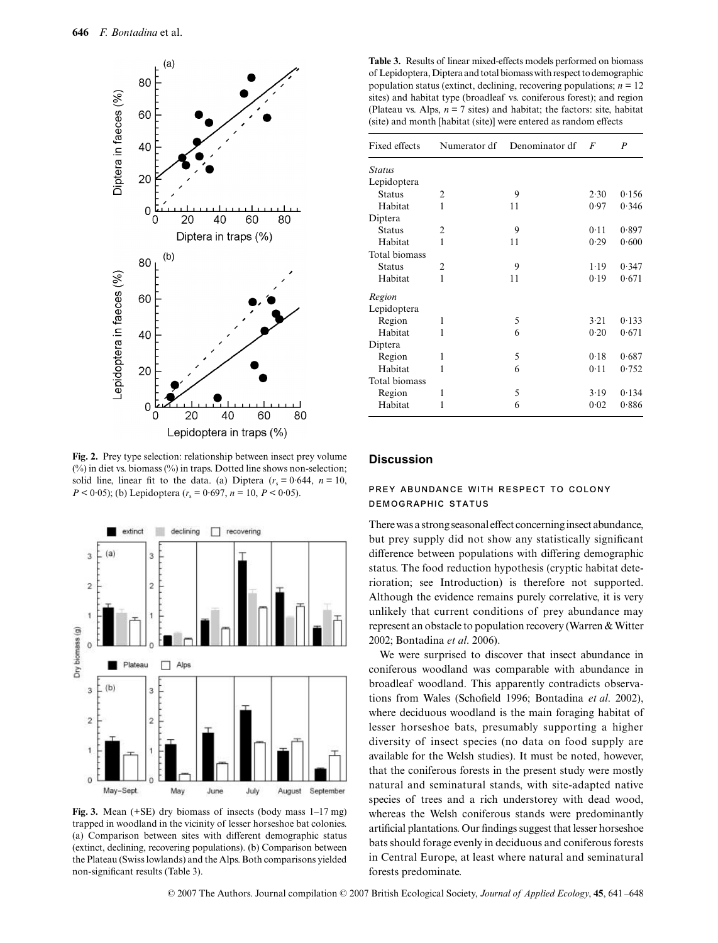

**Fig. 2.** Prey type selection: relationship between insect prey volume  $(\%)$  in diet vs. biomass  $(\%)$  in traps. Dotted line shows non-selection; solid line, linear fit to the data. (a) Diptera  $(r_s = 0.644, n = 10,$  $P < 0.05$ ; (b) Lepidoptera ( $r_s = 0.697$ ,  $n = 10$ ,  $P < 0.05$ ).



**Fig. 3.** Mean (+SE) dry biomass of insects (body mass 1–17 mg) trapped in woodland in the vicinity of lesser horseshoe bat colonies. (a) Comparison between sites with different demographic status (extinct, declining, recovering populations). (b) Comparison between the Plateau (Swiss lowlands) and the Alps. Both comparisons yielded non-significant results (Table 3).

**Table 3.** Results of linear mixed-effects models performed on biomass of Lepidoptera, Diptera and total biomass with respect to demographic population status (extinct, declining, recovering populations;  $n = 12$ sites) and habitat type (broadleaf vs. coniferous forest); and region (Plateau vs. Alps,  $n = 7$  sites) and habitat; the factors: site, habitat (site) and month [habitat (site)] were entered as random effects

| Fixed effects | Numerator df | Denominator df | $\overline{F}$ | $\boldsymbol{P}$ |  |
|---------------|--------------|----------------|----------------|------------------|--|
| <b>Status</b> |              |                |                |                  |  |
| Lepidoptera   |              |                |                |                  |  |
| <b>Status</b> | 2            | 9              | 2.30           | 0.156            |  |
| Habitat       | 1            | 11             | 0.97           | 0.346            |  |
| Diptera       |              |                |                |                  |  |
| <b>Status</b> | 2            | 9              | 0.11           | 0.897            |  |
| Habitat       | 1            | 11             | 0.29           | 0.600            |  |
| Total biomass |              |                |                |                  |  |
| <b>Status</b> | 2            | 9              | 1.19           | 0.347            |  |
| Habitat       | 1            | 11             | 0.19           | 0.671            |  |
| Region        |              |                |                |                  |  |
| Lepidoptera   |              |                |                |                  |  |
| Region        | 1            | 5              | 3.21           | 0.133            |  |
| Habitat       | 1            | 6              | 0.20           | 0.671            |  |
| Diptera       |              |                |                |                  |  |
| Region        | 1            | 5              | 0.18           | 0.687            |  |
| Habitat       | 1            | 6              | 0.11           | 0.752            |  |
| Total biomass |              |                |                |                  |  |
| Region        | 1            | 5              | 3.19           | 0.134            |  |
| Habitat       | 1            | 6              | 0.02           | 0.886            |  |
|               |              |                |                |                  |  |

## **Discussion**

## **PREY ABUNDANCE WITH RESPECT TO COLONY DEMOGRAPHIC STATUS**

There was a strong seasonal effect concerning insect abundance, but prey supply did not show any statistically significant difference between populations with differing demographic status. The food reduction hypothesis (cryptic habitat deterioration; see Introduction) is therefore not supported. Although the evidence remains purely correlative, it is very unlikely that current conditions of prey abundance may represent an obstacle to population recovery (Warren & Witter 2002; Bontadina *et al*. 2006).

We were surprised to discover that insect abundance in coniferous woodland was comparable with abundance in broadleaf woodland. This apparently contradicts observations from Wales (Schofield 1996; Bontadina *et al*. 2002), where deciduous woodland is the main foraging habitat of lesser horseshoe bats, presumably supporting a higher diversity of insect species (no data on food supply are available for the Welsh studies). It must be noted, however, that the coniferous forests in the present study were mostly natural and seminatural stands, with site-adapted native species of trees and a rich understorey with dead wood, whereas the Welsh coniferous stands were predominantly artificial plantations. Our findings suggest that lesser horseshoe bats should forage evenly in deciduous and coniferous forests in Central Europe, at least where natural and seminatural forests predominate.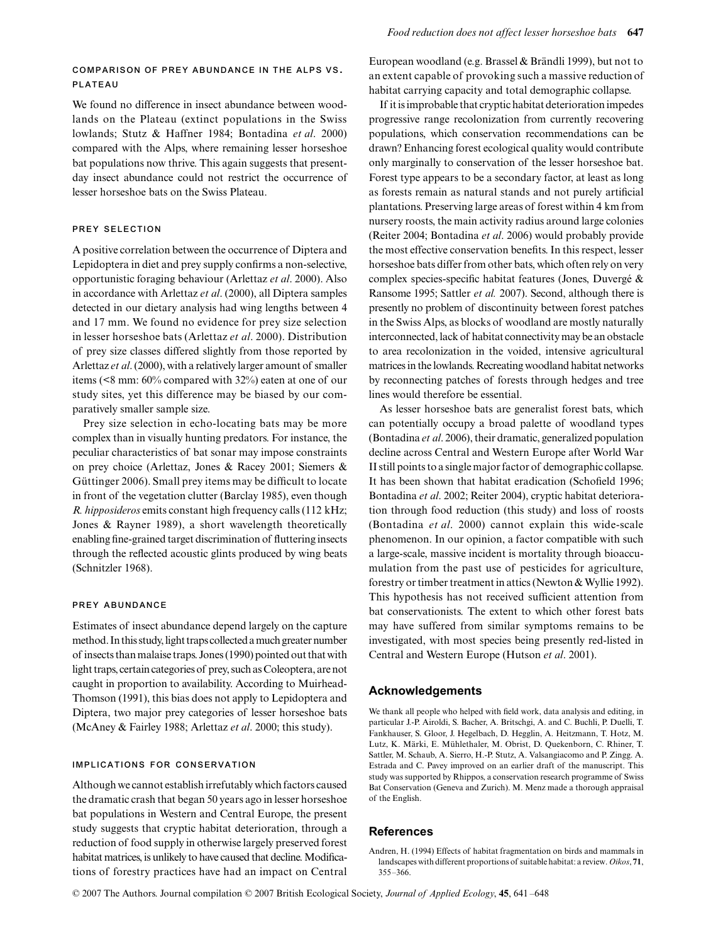## **COMPARISON OF PREY ABUNDANCE IN THE ALPS VS. PLATEAU**

We found no difference in insect abundance between woodlands on the Plateau (extinct populations in the Swiss lowlands; Stutz & Haffner 1984; Bontadina *et al*. 2000) compared with the Alps, where remaining lesser horseshoe bat populations now thrive. This again suggests that presentday insect abundance could not restrict the occurrence of lesser horseshoe bats on the Swiss Plateau.

#### **PREY SELECTION**

A positive correlation between the occurrence of Diptera and Lepidoptera in diet and prey supply confirms a non-selective, opportunistic foraging behaviour (Arlettaz *et al*. 2000). Also in accordance with Arlettaz *et al*. (2000), all Diptera samples detected in our dietary analysis had wing lengths between 4 and 17 mm. We found no evidence for prey size selection in lesser horseshoe bats (Arlettaz *et al*. 2000). Distribution of prey size classes differed slightly from those reported by Arlettaz *et al*. (2000), with a relatively larger amount of smaller items (<8 mm: 60% compared with 32%) eaten at one of our study sites, yet this difference may be biased by our comparatively smaller sample size.

Prey size selection in echo-locating bats may be more complex than in visually hunting predators. For instance, the peculiar characteristics of bat sonar may impose constraints on prey choice (Arlettaz, Jones & Racey 2001; Siemers & Güttinger 2006). Small prey items may be difficult to locate in front of the vegetation clutter (Barclay 1985), even though *R. hipposideros* emits constant high frequency calls (112 kHz; Jones & Rayner 1989), a short wavelength theoretically enabling fine-grained target discrimination of fluttering insects through the reflected acoustic glints produced by wing beats (Schnitzler 1968).

#### **PREY ABUNDANCE**

Estimates of insect abundance depend largely on the capture method. In this study, light traps collected a much greater number of insects than malaise traps. Jones (1990) pointed out that with light traps, certain categories of prey, such as Coleoptera, are not caught in proportion to availability. According to Muirhead-Thomson (1991), this bias does not apply to Lepidoptera and Diptera, two major prey categories of lesser horseshoe bats (McAney & Fairley 1988; Arlettaz *et al*. 2000; this study).

#### **IMPLICATIONS FOR CONSERVATION**

Although we cannot establish irrefutably which factors caused the dramatic crash that began 50 years ago in lesser horseshoe bat populations in Western and Central Europe, the present study suggests that cryptic habitat deterioration, through a reduction of food supply in otherwise largely preserved forest habitat matrices, is unlikely to have caused that decline. Modifications of forestry practices have had an impact on Central European woodland (e.g. Brassel & Brändli 1999), but not to an extent capable of provoking such a massive reduction of habitat carrying capacity and total demographic collapse.

If it is improbable that cryptic habitat deterioration impedes progressive range recolonization from currently recovering populations, which conservation recommendations can be drawn? Enhancing forest ecological quality would contribute only marginally to conservation of the lesser horseshoe bat. Forest type appears to be a secondary factor, at least as long as forests remain as natural stands and not purely artificial plantations. Preserving large areas of forest within 4 km from nursery roosts, the main activity radius around large colonies (Reiter 2004; Bontadina *et al*. 2006) would probably provide the most effective conservation benefits. In this respect, lesser horseshoe bats differ from other bats, which often rely on very complex species-specific habitat features (Jones, Duvergé & Ransome 1995; Sattler *et al.* 2007). Second, although there is presently no problem of discontinuity between forest patches in the Swiss Alps, as blocks of woodland are mostly naturally interconnected, lack of habitat connectivity may be an obstacle to area recolonization in the voided, intensive agricultural matrices in the lowlands. Recreating woodland habitat networks by reconnecting patches of forests through hedges and tree lines would therefore be essential.

As lesser horseshoe bats are generalist forest bats, which can potentially occupy a broad palette of woodland types (Bontadina *et al*. 2006), their dramatic, generalized population decline across Central and Western Europe after World War II still points to a single major factor of demographic collapse. It has been shown that habitat eradication (Schofield 1996; Bontadina *et al*. 2002; Reiter 2004), cryptic habitat deterioration through food reduction (this study) and loss of roosts (Bontadina *et al*. 2000) cannot explain this wide-scale phenomenon. In our opinion, a factor compatible with such a large-scale, massive incident is mortality through bioaccumulation from the past use of pesticides for agriculture, forestry or timber treatment in attics (Newton & Wyllie 1992). This hypothesis has not received sufficient attention from bat conservationists. The extent to which other forest bats may have suffered from similar symptoms remains to be investigated, with most species being presently red-listed in Central and Western Europe (Hutson *et al*. 2001).

#### **Acknowledgements**

We thank all people who helped with field work, data analysis and editing, in particular J.-P. Airoldi, S. Bacher, A. Britschgi, A. and C. Buchli, P. Duelli, T. Fankhauser, S. Gloor, J. Hegelbach, D. Hegglin, A. Heitzmann, T. Hotz, M. Lutz, K. Märki, E. Mühlethaler, M. Obrist, D. Quekenborn, C. Rhiner, T. Sattler, M. Schaub, A. Sierro, H.-P. Stutz, A. Valsangiacomo and P. Zingg. A. Estrada and C. Pavey improved on an earlier draft of the manuscript. This study was supported by Rhippos, a conservation research programme of Swiss Bat Conservation (Geneva and Zurich). M. Menz made a thorough appraisal of the English.

#### **References**

Andren, H. (1994) Effects of habitat fragmentation on birds and mammals in landscapes with different proportions of suitable habitat: a review. *Oikos*, **71**, 355–366.